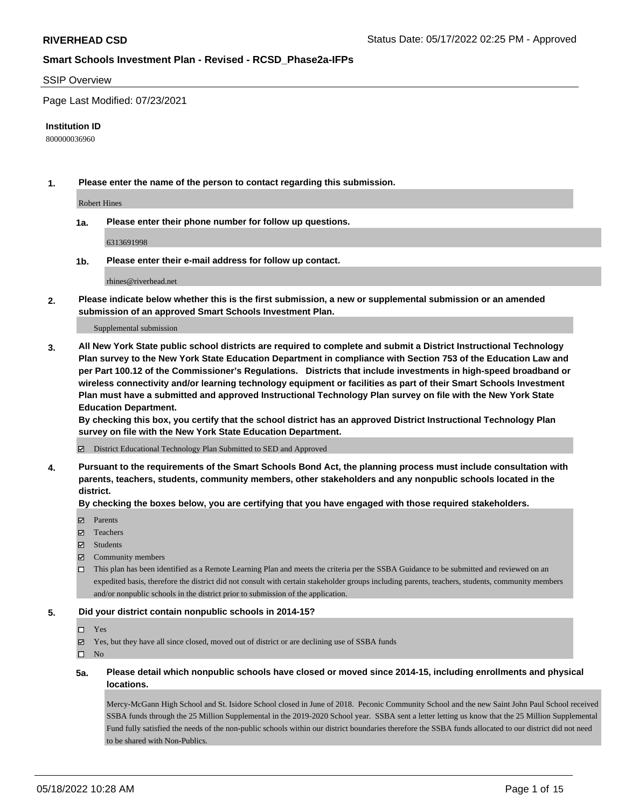#### SSIP Overview

Page Last Modified: 07/23/2021

#### **Institution ID**

800000036960

**1. Please enter the name of the person to contact regarding this submission.**

Robert Hines

**1a. Please enter their phone number for follow up questions.**

6313691998

**1b. Please enter their e-mail address for follow up contact.**

rhines@riverhead.net

**2. Please indicate below whether this is the first submission, a new or supplemental submission or an amended submission of an approved Smart Schools Investment Plan.**

Supplemental submission

**3. All New York State public school districts are required to complete and submit a District Instructional Technology Plan survey to the New York State Education Department in compliance with Section 753 of the Education Law and per Part 100.12 of the Commissioner's Regulations. Districts that include investments in high-speed broadband or wireless connectivity and/or learning technology equipment or facilities as part of their Smart Schools Investment Plan must have a submitted and approved Instructional Technology Plan survey on file with the New York State Education Department.** 

**By checking this box, you certify that the school district has an approved District Instructional Technology Plan survey on file with the New York State Education Department.**

District Educational Technology Plan Submitted to SED and Approved

**4. Pursuant to the requirements of the Smart Schools Bond Act, the planning process must include consultation with parents, teachers, students, community members, other stakeholders and any nonpublic schools located in the district.** 

**By checking the boxes below, you are certifying that you have engaged with those required stakeholders.**

- $\blacksquare$  Parents
- Teachers
- Students
- $\Xi$  Community members
- This plan has been identified as a Remote Learning Plan and meets the criteria per the SSBA Guidance to be submitted and reviewed on an expedited basis, therefore the district did not consult with certain stakeholder groups including parents, teachers, students, community members and/or nonpublic schools in the district prior to submission of the application.

#### **5. Did your district contain nonpublic schools in 2014-15?**

#### Yes

 $\boxtimes$  Yes, but they have all since closed, moved out of district or are declining use of SSBA funds

 $\square$  No

**5a. Please detail which nonpublic schools have closed or moved since 2014-15, including enrollments and physical locations.**

Mercy-McGann High School and St. Isidore School closed in June of 2018. Peconic Community School and the new Saint John Paul School received SSBA funds through the 25 Million Supplemental in the 2019-2020 School year. SSBA sent a letter letting us know that the 25 Million Supplemental Fund fully satisfied the needs of the non-public schools within our district boundaries therefore the SSBA funds allocated to our district did not need to be shared with Non-Publics.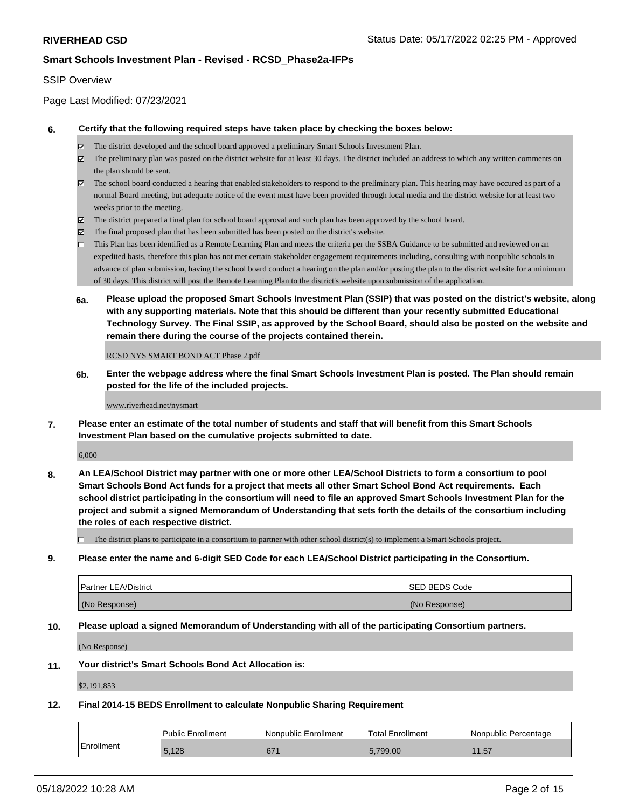### SSIP Overview

Page Last Modified: 07/23/2021

#### **6. Certify that the following required steps have taken place by checking the boxes below:**

- The district developed and the school board approved a preliminary Smart Schools Investment Plan.
- $\boxtimes$  The preliminary plan was posted on the district website for at least 30 days. The district included an address to which any written comments on the plan should be sent.
- $\boxtimes$  The school board conducted a hearing that enabled stakeholders to respond to the preliminary plan. This hearing may have occured as part of a normal Board meeting, but adequate notice of the event must have been provided through local media and the district website for at least two weeks prior to the meeting.
- The district prepared a final plan for school board approval and such plan has been approved by the school board.
- $\boxtimes$  The final proposed plan that has been submitted has been posted on the district's website.
- This Plan has been identified as a Remote Learning Plan and meets the criteria per the SSBA Guidance to be submitted and reviewed on an expedited basis, therefore this plan has not met certain stakeholder engagement requirements including, consulting with nonpublic schools in advance of plan submission, having the school board conduct a hearing on the plan and/or posting the plan to the district website for a minimum of 30 days. This district will post the Remote Learning Plan to the district's website upon submission of the application.
- **6a. Please upload the proposed Smart Schools Investment Plan (SSIP) that was posted on the district's website, along with any supporting materials. Note that this should be different than your recently submitted Educational Technology Survey. The Final SSIP, as approved by the School Board, should also be posted on the website and remain there during the course of the projects contained therein.**

RCSD NYS SMART BOND ACT Phase 2.pdf

**6b. Enter the webpage address where the final Smart Schools Investment Plan is posted. The Plan should remain posted for the life of the included projects.**

www.riverhead.net/nysmart

**7. Please enter an estimate of the total number of students and staff that will benefit from this Smart Schools Investment Plan based on the cumulative projects submitted to date.**

6,000

**8. An LEA/School District may partner with one or more other LEA/School Districts to form a consortium to pool Smart Schools Bond Act funds for a project that meets all other Smart School Bond Act requirements. Each school district participating in the consortium will need to file an approved Smart Schools Investment Plan for the project and submit a signed Memorandum of Understanding that sets forth the details of the consortium including the roles of each respective district.**

 $\Box$  The district plans to participate in a consortium to partner with other school district(s) to implement a Smart Schools project.

**9. Please enter the name and 6-digit SED Code for each LEA/School District participating in the Consortium.**

| <b>Partner LEA/District</b> | <b>ISED BEDS Code</b> |
|-----------------------------|-----------------------|
| (No Response)               | (No Response)         |

#### **10. Please upload a signed Memorandum of Understanding with all of the participating Consortium partners.**

(No Response)

#### **11. Your district's Smart Schools Bond Act Allocation is:**

\$2,191,853

#### **12. Final 2014-15 BEDS Enrollment to calculate Nonpublic Sharing Requirement**

|             | Public Enrollment | l Nonpublic Enrollment | Total Enrollment | l Nonpublic Percentage |
|-------------|-------------------|------------------------|------------------|------------------------|
| ⊧Enrollment | 5,128             | 671                    | 5.799.00         | 11.57                  |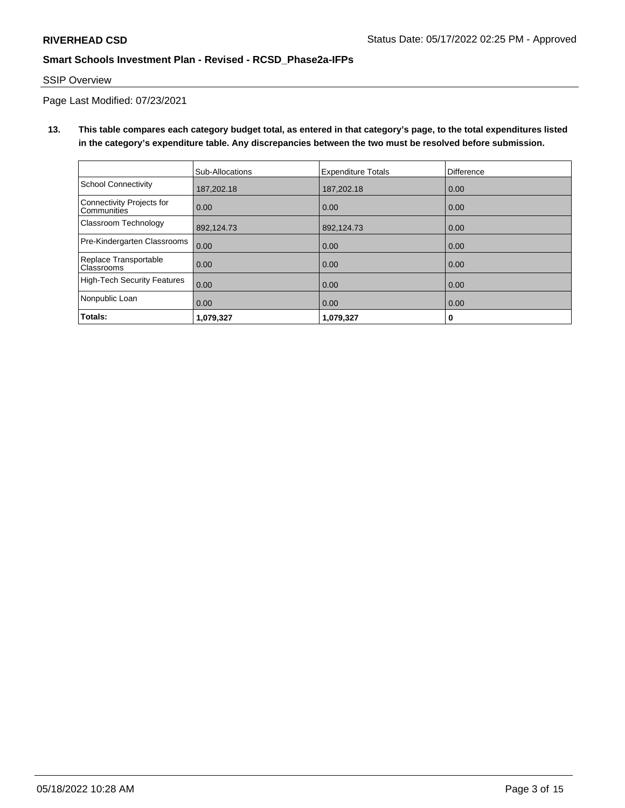# SSIP Overview

Page Last Modified: 07/23/2021

**13. This table compares each category budget total, as entered in that category's page, to the total expenditures listed in the category's expenditure table. Any discrepancies between the two must be resolved before submission.**

|                                            | Sub-Allocations | <b>Expenditure Totals</b> | <b>Difference</b> |
|--------------------------------------------|-----------------|---------------------------|-------------------|
| <b>School Connectivity</b>                 | 187,202.18      | 187,202.18                | 0.00              |
| Connectivity Projects for<br>Communities   | 0.00            | 0.00                      | 0.00              |
| Classroom Technology                       | 892,124.73      | 892,124.73                | 0.00              |
| Pre-Kindergarten Classrooms                | 0.00            | 0.00                      | 0.00              |
| Replace Transportable<br><b>Classrooms</b> | 0.00            | 0.00                      | 0.00              |
| <b>High-Tech Security Features</b>         | 0.00            | 0.00                      | 0.00              |
| Nonpublic Loan                             | 0.00            | 0.00                      | 0.00              |
| Totals:                                    | 1,079,327       | 1,079,327                 | 0                 |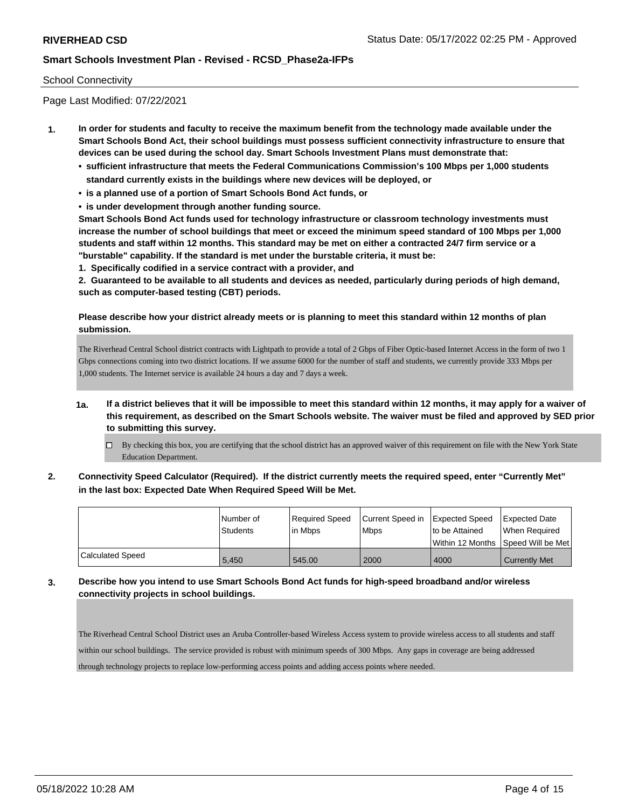## School Connectivity

Page Last Modified: 07/22/2021

- **1. In order for students and faculty to receive the maximum benefit from the technology made available under the Smart Schools Bond Act, their school buildings must possess sufficient connectivity infrastructure to ensure that devices can be used during the school day. Smart Schools Investment Plans must demonstrate that:**
	- **• sufficient infrastructure that meets the Federal Communications Commission's 100 Mbps per 1,000 students standard currently exists in the buildings where new devices will be deployed, or**
	- **• is a planned use of a portion of Smart Schools Bond Act funds, or**
	- **• is under development through another funding source.**

**Smart Schools Bond Act funds used for technology infrastructure or classroom technology investments must increase the number of school buildings that meet or exceed the minimum speed standard of 100 Mbps per 1,000 students and staff within 12 months. This standard may be met on either a contracted 24/7 firm service or a "burstable" capability. If the standard is met under the burstable criteria, it must be:**

**1. Specifically codified in a service contract with a provider, and**

**2. Guaranteed to be available to all students and devices as needed, particularly during periods of high demand, such as computer-based testing (CBT) periods.**

## **Please describe how your district already meets or is planning to meet this standard within 12 months of plan submission.**

The Riverhead Central School district contracts with Lightpath to provide a total of 2 Gbps of Fiber Optic-based Internet Access in the form of two 1 Gbps connections coming into two district locations. If we assume 6000 for the number of staff and students, we currently provide 333 Mbps per 1,000 students. The Internet service is available 24 hours a day and 7 days a week.

- **1a. If a district believes that it will be impossible to meet this standard within 12 months, it may apply for a waiver of this requirement, as described on the Smart Schools website. The waiver must be filed and approved by SED prior to submitting this survey.**
	- $\Box$  By checking this box, you are certifying that the school district has an approved waiver of this requirement on file with the New York State Education Department.
- **2. Connectivity Speed Calculator (Required). If the district currently meets the required speed, enter "Currently Met" in the last box: Expected Date When Required Speed Will be Met.**

|                         | l Number of | Required Speed | Current Speed in | Expected Speed | <b>Expected Date</b>                    |
|-------------------------|-------------|----------------|------------------|----------------|-----------------------------------------|
|                         | Students    | lin Mbps       | <b>Mbps</b>      | to be Attained | When Required                           |
|                         |             |                |                  |                | l Within 12 Months ISpeed Will be Met l |
| <b>Calculated Speed</b> | 5,450       | 545.00         | 2000             | 4000           | <b>Currently Met</b>                    |

**3. Describe how you intend to use Smart Schools Bond Act funds for high-speed broadband and/or wireless connectivity projects in school buildings.**

The Riverhead Central School District uses an Aruba Controller-based Wireless Access system to provide wireless access to all students and staff within our school buildings. The service provided is robust with minimum speeds of 300 Mbps. Any gaps in coverage are being addressed through technology projects to replace low-performing access points and adding access points where needed.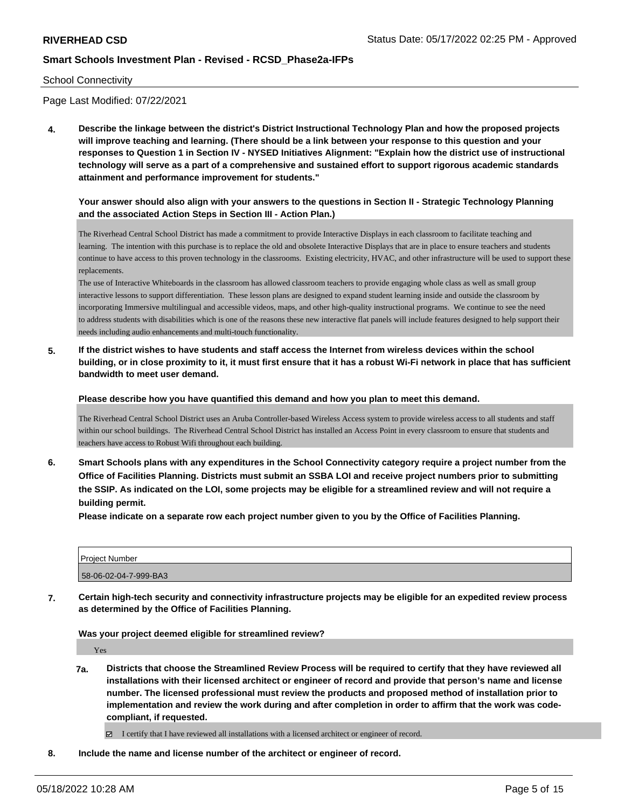#### School Connectivity

Page Last Modified: 07/22/2021

**4. Describe the linkage between the district's District Instructional Technology Plan and how the proposed projects will improve teaching and learning. (There should be a link between your response to this question and your responses to Question 1 in Section IV - NYSED Initiatives Alignment: "Explain how the district use of instructional technology will serve as a part of a comprehensive and sustained effort to support rigorous academic standards attainment and performance improvement for students."** 

## **Your answer should also align with your answers to the questions in Section II - Strategic Technology Planning and the associated Action Steps in Section III - Action Plan.)**

The Riverhead Central School District has made a commitment to provide Interactive Displays in each classroom to facilitate teaching and learning. The intention with this purchase is to replace the old and obsolete Interactive Displays that are in place to ensure teachers and students continue to have access to this proven technology in the classrooms. Existing electricity, HVAC, and other infrastructure will be used to support these replacements.

The use of Interactive Whiteboards in the classroom has allowed classroom teachers to provide engaging whole class as well as small group interactive lessons to support differentiation. These lesson plans are designed to expand student learning inside and outside the classroom by incorporating Immersive multilingual and accessible videos, maps, and other high-quality instructional programs. We continue to see the need to address students with disabilities which is one of the reasons these new interactive flat panels will include features designed to help support their needs including audio enhancements and multi-touch functionality.

**5. If the district wishes to have students and staff access the Internet from wireless devices within the school building, or in close proximity to it, it must first ensure that it has a robust Wi-Fi network in place that has sufficient bandwidth to meet user demand.**

**Please describe how you have quantified this demand and how you plan to meet this demand.**

The Riverhead Central School District uses an Aruba Controller-based Wireless Access system to provide wireless access to all students and staff within our school buildings. The Riverhead Central School District has installed an Access Point in every classroom to ensure that students and teachers have access to Robust Wifi throughout each building.

**6. Smart Schools plans with any expenditures in the School Connectivity category require a project number from the Office of Facilities Planning. Districts must submit an SSBA LOI and receive project numbers prior to submitting the SSIP. As indicated on the LOI, some projects may be eligible for a streamlined review and will not require a building permit.**

**Please indicate on a separate row each project number given to you by the Office of Facilities Planning.**

| <b>Project Number</b> |  |
|-----------------------|--|
| 58-06-02-04-7-999-BA3 |  |

**7. Certain high-tech security and connectivity infrastructure projects may be eligible for an expedited review process as determined by the Office of Facilities Planning.**

**Was your project deemed eligible for streamlined review?**

Yes

**7a. Districts that choose the Streamlined Review Process will be required to certify that they have reviewed all installations with their licensed architect or engineer of record and provide that person's name and license number. The licensed professional must review the products and proposed method of installation prior to implementation and review the work during and after completion in order to affirm that the work was codecompliant, if requested.**

I certify that I have reviewed all installations with a licensed architect or engineer of record.

**8. Include the name and license number of the architect or engineer of record.**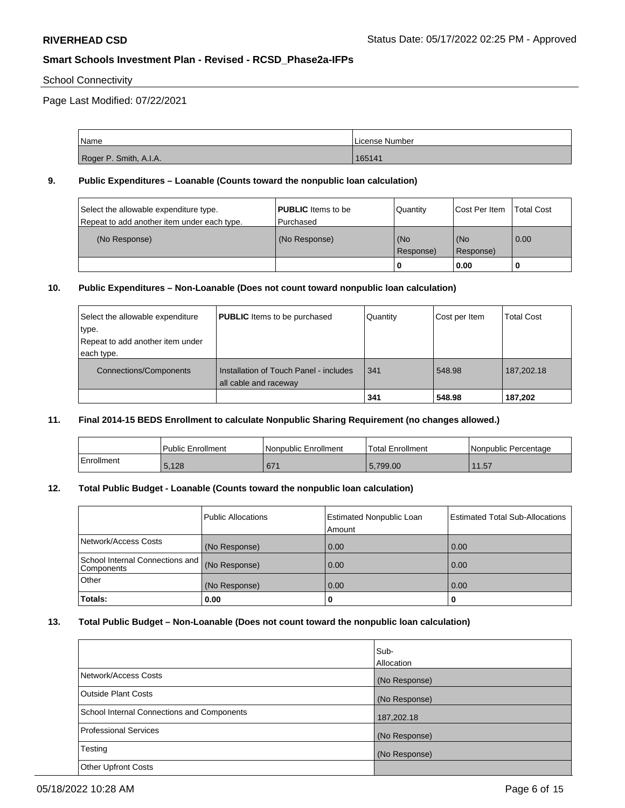## School Connectivity

Page Last Modified: 07/22/2021

| Name                   | License Number |
|------------------------|----------------|
| Roger P. Smith, A.I.A. | 165141         |

#### **9. Public Expenditures – Loanable (Counts toward the nonpublic loan calculation)**

| Select the allowable expenditure type.      | <b>PUBLIC</b> Items to be | Quantity           | Cost Per Item    | <b>Total Cost</b> |
|---------------------------------------------|---------------------------|--------------------|------------------|-------------------|
| Repeat to add another item under each type. | Purchased                 |                    |                  |                   |
| (No Response)                               | (No Response)             | (No<br>l Response) | (No<br>Response) | $\overline{0.00}$ |
|                                             |                           | 0                  | 0.00             |                   |

#### **10. Public Expenditures – Non-Loanable (Does not count toward nonpublic loan calculation)**

| Select the allowable expenditure | <b>PUBLIC</b> Items to be purchased                             | Quantity | Cost per Item | <b>Total Cost</b> |
|----------------------------------|-----------------------------------------------------------------|----------|---------------|-------------------|
| type.                            |                                                                 |          |               |                   |
| Repeat to add another item under |                                                                 |          |               |                   |
| each type.                       |                                                                 |          |               |                   |
| <b>Connections/Components</b>    | Installation of Touch Panel - includes<br>all cable and raceway | 341      | 548.98        | 187,202.18        |
|                                  |                                                                 | 341      | 548.98        | 187,202           |

#### **11. Final 2014-15 BEDS Enrollment to calculate Nonpublic Sharing Requirement (no changes allowed.)**

|            | l Public Enrollment | Nonpublic Enrollment | <b>Total Enrollment</b> | l Nonpublic Percentage |
|------------|---------------------|----------------------|-------------------------|------------------------|
| Enrollment | 5,128               | 671                  | 5.799.00                | 1.57<br>11             |

## **12. Total Public Budget - Loanable (Counts toward the nonpublic loan calculation)**

|                                               | <b>Public Allocations</b> | <b>Estimated Nonpublic Loan</b><br>Amount | <b>Estimated Total Sub-Allocations</b> |
|-----------------------------------------------|---------------------------|-------------------------------------------|----------------------------------------|
| Network/Access Costs                          | (No Response)             | 0.00                                      | 0.00                                   |
| School Internal Connections and<br>Components | (No Response)             | 0.00                                      | 0.00                                   |
| Other                                         | (No Response)             | 0.00                                      | 0.00                                   |
| <b>Totals:</b>                                | 0.00                      | u                                         |                                        |

## **13. Total Public Budget – Non-Loanable (Does not count toward the nonpublic loan calculation)**

|                                            | lSub-<br>Allocation |
|--------------------------------------------|---------------------|
| Network/Access Costs                       | (No Response)       |
| <b>Outside Plant Costs</b>                 | (No Response)       |
| School Internal Connections and Components | 187,202.18          |
| <b>Professional Services</b>               | (No Response)       |
| Testing                                    | (No Response)       |
| <b>Other Upfront Costs</b>                 |                     |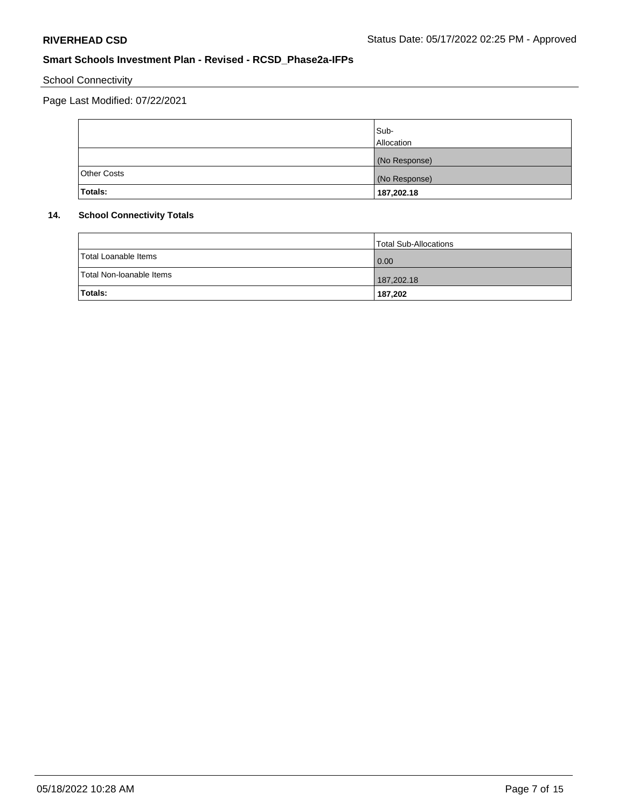# School Connectivity

Page Last Modified: 07/22/2021

|                    | Sub-<br>Allocation |
|--------------------|--------------------|
|                    | (No Response)      |
| <b>Other Costs</b> | (No Response)      |
| <b>Totals:</b>     | 187,202.18         |

## **14. School Connectivity Totals**

|                          | Total Sub-Allocations |
|--------------------------|-----------------------|
| Total Loanable Items     | 0.00                  |
| Total Non-Ioanable Items | 187,202.18            |
| Totals:                  | 187,202               |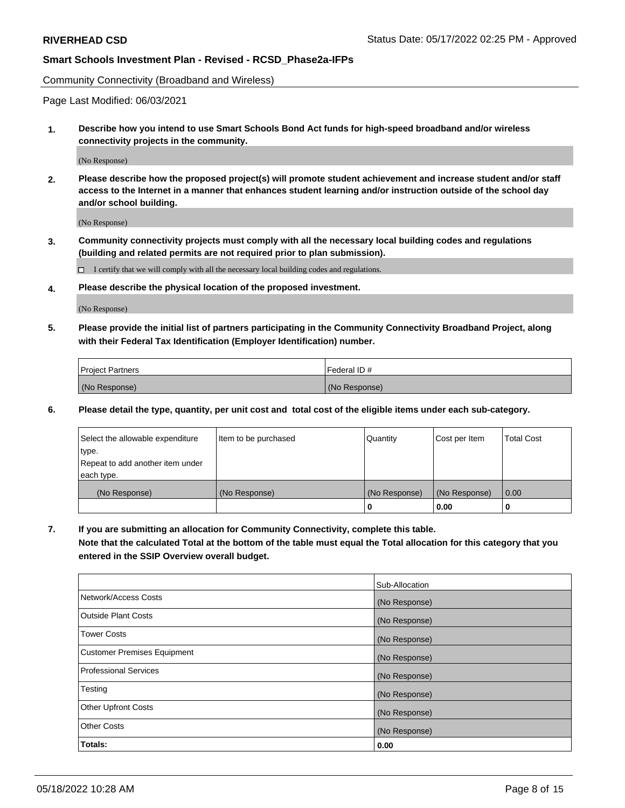Community Connectivity (Broadband and Wireless)

Page Last Modified: 06/03/2021

**1. Describe how you intend to use Smart Schools Bond Act funds for high-speed broadband and/or wireless connectivity projects in the community.**

(No Response)

**2. Please describe how the proposed project(s) will promote student achievement and increase student and/or staff access to the Internet in a manner that enhances student learning and/or instruction outside of the school day and/or school building.**

(No Response)

**3. Community connectivity projects must comply with all the necessary local building codes and regulations (building and related permits are not required prior to plan submission).**

 $\Box$  I certify that we will comply with all the necessary local building codes and regulations.

**4. Please describe the physical location of the proposed investment.**

(No Response)

**5. Please provide the initial list of partners participating in the Community Connectivity Broadband Project, along with their Federal Tax Identification (Employer Identification) number.**

| <b>Project Partners</b> | Federal ID#   |
|-------------------------|---------------|
| (No Response)           | (No Response) |

**6. Please detail the type, quantity, per unit cost and total cost of the eligible items under each sub-category.**

| Select the allowable expenditure | Item to be purchased | Quantity      | Cost per Item | <b>Total Cost</b> |
|----------------------------------|----------------------|---------------|---------------|-------------------|
| type.                            |                      |               |               |                   |
| Repeat to add another item under |                      |               |               |                   |
| each type.                       |                      |               |               |                   |
| (No Response)                    | (No Response)        | (No Response) | (No Response) | 0.00              |
|                                  |                      | 0             | 0.00          |                   |

**7. If you are submitting an allocation for Community Connectivity, complete this table.**

**Note that the calculated Total at the bottom of the table must equal the Total allocation for this category that you entered in the SSIP Overview overall budget.**

|                                    | Sub-Allocation |
|------------------------------------|----------------|
| Network/Access Costs               | (No Response)  |
| Outside Plant Costs                | (No Response)  |
| <b>Tower Costs</b>                 | (No Response)  |
| <b>Customer Premises Equipment</b> | (No Response)  |
| Professional Services              | (No Response)  |
| Testing                            | (No Response)  |
| <b>Other Upfront Costs</b>         | (No Response)  |
| <b>Other Costs</b>                 | (No Response)  |
| Totals:                            | 0.00           |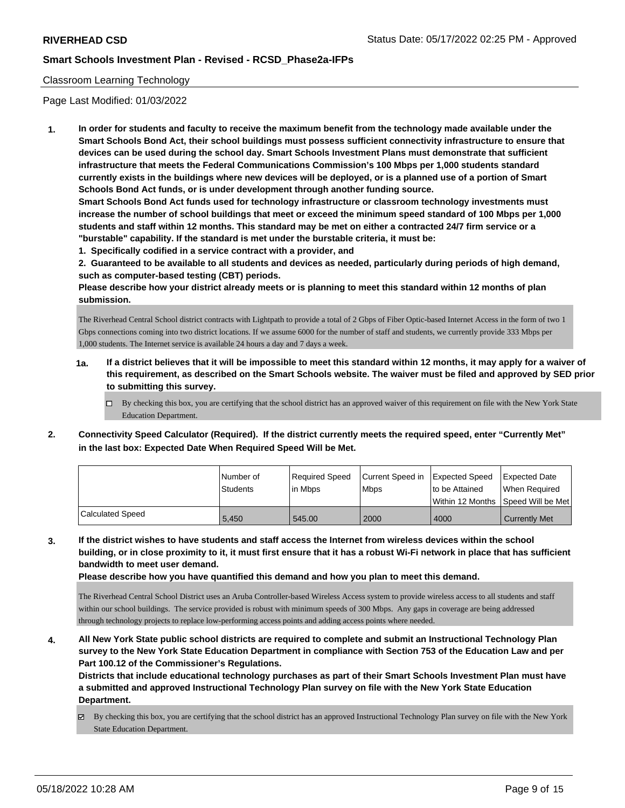## Classroom Learning Technology

Page Last Modified: 01/03/2022

**1. In order for students and faculty to receive the maximum benefit from the technology made available under the Smart Schools Bond Act, their school buildings must possess sufficient connectivity infrastructure to ensure that devices can be used during the school day. Smart Schools Investment Plans must demonstrate that sufficient infrastructure that meets the Federal Communications Commission's 100 Mbps per 1,000 students standard currently exists in the buildings where new devices will be deployed, or is a planned use of a portion of Smart Schools Bond Act funds, or is under development through another funding source.**

**Smart Schools Bond Act funds used for technology infrastructure or classroom technology investments must increase the number of school buildings that meet or exceed the minimum speed standard of 100 Mbps per 1,000 students and staff within 12 months. This standard may be met on either a contracted 24/7 firm service or a "burstable" capability. If the standard is met under the burstable criteria, it must be:**

**1. Specifically codified in a service contract with a provider, and**

**2. Guaranteed to be available to all students and devices as needed, particularly during periods of high demand, such as computer-based testing (CBT) periods.**

**Please describe how your district already meets or is planning to meet this standard within 12 months of plan submission.**

The Riverhead Central School district contracts with Lightpath to provide a total of 2 Gbps of Fiber Optic-based Internet Access in the form of two 1 Gbps connections coming into two district locations. If we assume 6000 for the number of staff and students, we currently provide 333 Mbps per 1,000 students. The Internet service is available 24 hours a day and 7 days a week.

- **1a. If a district believes that it will be impossible to meet this standard within 12 months, it may apply for a waiver of this requirement, as described on the Smart Schools website. The waiver must be filed and approved by SED prior to submitting this survey.**
	- By checking this box, you are certifying that the school district has an approved waiver of this requirement on file with the New York State Education Department.
- **2. Connectivity Speed Calculator (Required). If the district currently meets the required speed, enter "Currently Met" in the last box: Expected Date When Required Speed Will be Met.**

|                  | l Number of     | Required Speed | Current Speed in Expected Speed | to be Attained                      | Expected Date        |
|------------------|-----------------|----------------|---------------------------------|-------------------------------------|----------------------|
|                  | <b>Students</b> | lin Mbps       | <b>Mbps</b>                     | Within 12 Months ISpeed Will be Met | When Required        |
| Calculated Speed | 5,450           | 545.00         | 2000                            | 4000                                | <b>Currently Met</b> |

**3. If the district wishes to have students and staff access the Internet from wireless devices within the school building, or in close proximity to it, it must first ensure that it has a robust Wi-Fi network in place that has sufficient bandwidth to meet user demand.**

**Please describe how you have quantified this demand and how you plan to meet this demand.**

The Riverhead Central School District uses an Aruba Controller-based Wireless Access system to provide wireless access to all students and staff within our school buildings. The service provided is robust with minimum speeds of 300 Mbps. Any gaps in coverage are being addressed through technology projects to replace low-performing access points and adding access points where needed.

**4. All New York State public school districts are required to complete and submit an Instructional Technology Plan survey to the New York State Education Department in compliance with Section 753 of the Education Law and per Part 100.12 of the Commissioner's Regulations.**

**Districts that include educational technology purchases as part of their Smart Schools Investment Plan must have a submitted and approved Instructional Technology Plan survey on file with the New York State Education Department.**

By checking this box, you are certifying that the school district has an approved Instructional Technology Plan survey on file with the New York State Education Department.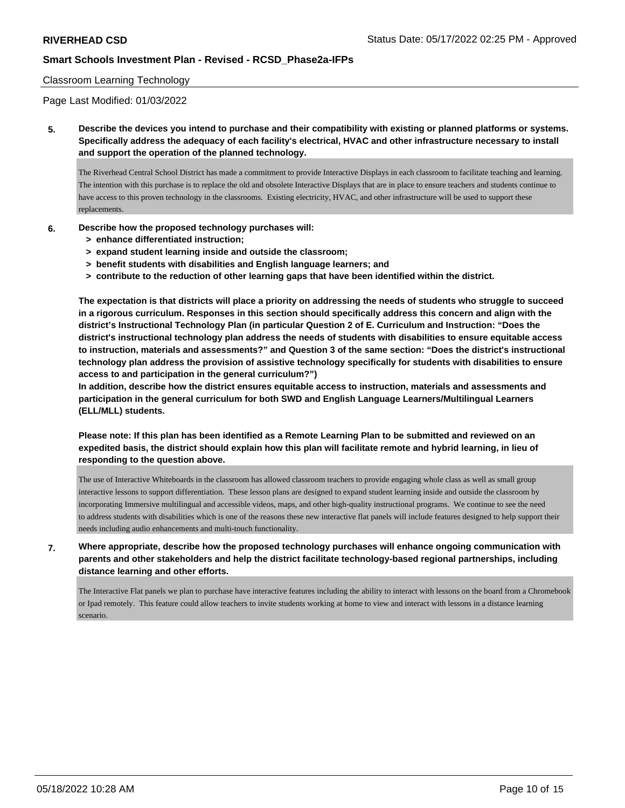#### Classroom Learning Technology

Page Last Modified: 01/03/2022

**5. Describe the devices you intend to purchase and their compatibility with existing or planned platforms or systems. Specifically address the adequacy of each facility's electrical, HVAC and other infrastructure necessary to install and support the operation of the planned technology.**

The Riverhead Central School District has made a commitment to provide Interactive Displays in each classroom to facilitate teaching and learning. The intention with this purchase is to replace the old and obsolete Interactive Displays that are in place to ensure teachers and students continue to have access to this proven technology in the classrooms. Existing electricity, HVAC, and other infrastructure will be used to support these replacements.

- **6. Describe how the proposed technology purchases will:**
	- **> enhance differentiated instruction;**
	- **> expand student learning inside and outside the classroom;**
	- **> benefit students with disabilities and English language learners; and**
	- **> contribute to the reduction of other learning gaps that have been identified within the district.**

**The expectation is that districts will place a priority on addressing the needs of students who struggle to succeed in a rigorous curriculum. Responses in this section should specifically address this concern and align with the district's Instructional Technology Plan (in particular Question 2 of E. Curriculum and Instruction: "Does the district's instructional technology plan address the needs of students with disabilities to ensure equitable access to instruction, materials and assessments?" and Question 3 of the same section: "Does the district's instructional technology plan address the provision of assistive technology specifically for students with disabilities to ensure access to and participation in the general curriculum?")**

**In addition, describe how the district ensures equitable access to instruction, materials and assessments and participation in the general curriculum for both SWD and English Language Learners/Multilingual Learners (ELL/MLL) students.**

**Please note: If this plan has been identified as a Remote Learning Plan to be submitted and reviewed on an expedited basis, the district should explain how this plan will facilitate remote and hybrid learning, in lieu of responding to the question above.**

The use of Interactive Whiteboards in the classroom has allowed classroom teachers to provide engaging whole class as well as small group interactive lessons to support differentiation. These lesson plans are designed to expand student learning inside and outside the classroom by incorporating Immersive multilingual and accessible videos, maps, and other high-quality instructional programs. We continue to see the need to address students with disabilities which is one of the reasons these new interactive flat panels will include features designed to help support their needs including audio enhancements and multi-touch functionality.

**7. Where appropriate, describe how the proposed technology purchases will enhance ongoing communication with parents and other stakeholders and help the district facilitate technology-based regional partnerships, including distance learning and other efforts.**

The Interactive Flat panels we plan to purchase have interactive features including the ability to interact with lessons on the board from a Chromebook or Ipad remotely. This feature could allow teachers to invite students working at home to view and interact with lessons in a distance learning scenario.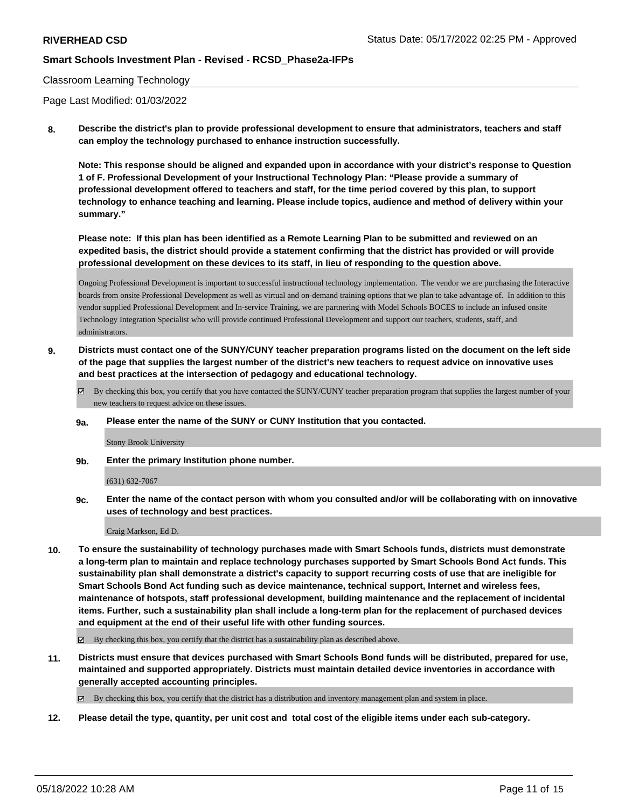#### Classroom Learning Technology

Page Last Modified: 01/03/2022

**8. Describe the district's plan to provide professional development to ensure that administrators, teachers and staff can employ the technology purchased to enhance instruction successfully.**

**Note: This response should be aligned and expanded upon in accordance with your district's response to Question 1 of F. Professional Development of your Instructional Technology Plan: "Please provide a summary of professional development offered to teachers and staff, for the time period covered by this plan, to support technology to enhance teaching and learning. Please include topics, audience and method of delivery within your summary."**

**Please note: If this plan has been identified as a Remote Learning Plan to be submitted and reviewed on an expedited basis, the district should provide a statement confirming that the district has provided or will provide professional development on these devices to its staff, in lieu of responding to the question above.**

Ongoing Professional Development is important to successful instructional technology implementation. The vendor we are purchasing the Interactive boards from onsite Professional Development as well as virtual and on-demand training options that we plan to take advantage of. In addition to this vendor supplied Professional Development and In-service Training, we are partnering with Model Schools BOCES to include an infused onsite Technology Integration Specialist who will provide continued Professional Development and support our teachers, students, staff, and administrators.

**9. Districts must contact one of the SUNY/CUNY teacher preparation programs listed on the document on the left side of the page that supplies the largest number of the district's new teachers to request advice on innovative uses and best practices at the intersection of pedagogy and educational technology.**

By checking this box, you certify that you have contacted the SUNY/CUNY teacher preparation program that supplies the largest number of your new teachers to request advice on these issues.

**9a. Please enter the name of the SUNY or CUNY Institution that you contacted.**

Stony Brook University

**9b. Enter the primary Institution phone number.**

(631) 632-7067

**9c. Enter the name of the contact person with whom you consulted and/or will be collaborating with on innovative uses of technology and best practices.**

Craig Markson, Ed D.

**10. To ensure the sustainability of technology purchases made with Smart Schools funds, districts must demonstrate a long-term plan to maintain and replace technology purchases supported by Smart Schools Bond Act funds. This sustainability plan shall demonstrate a district's capacity to support recurring costs of use that are ineligible for Smart Schools Bond Act funding such as device maintenance, technical support, Internet and wireless fees, maintenance of hotspots, staff professional development, building maintenance and the replacement of incidental items. Further, such a sustainability plan shall include a long-term plan for the replacement of purchased devices and equipment at the end of their useful life with other funding sources.**

By checking this box, you certify that the district has a sustainability plan as described above.

**11. Districts must ensure that devices purchased with Smart Schools Bond funds will be distributed, prepared for use, maintained and supported appropriately. Districts must maintain detailed device inventories in accordance with generally accepted accounting principles.**

By checking this box, you certify that the district has a distribution and inventory management plan and system in place.

**12. Please detail the type, quantity, per unit cost and total cost of the eligible items under each sub-category.**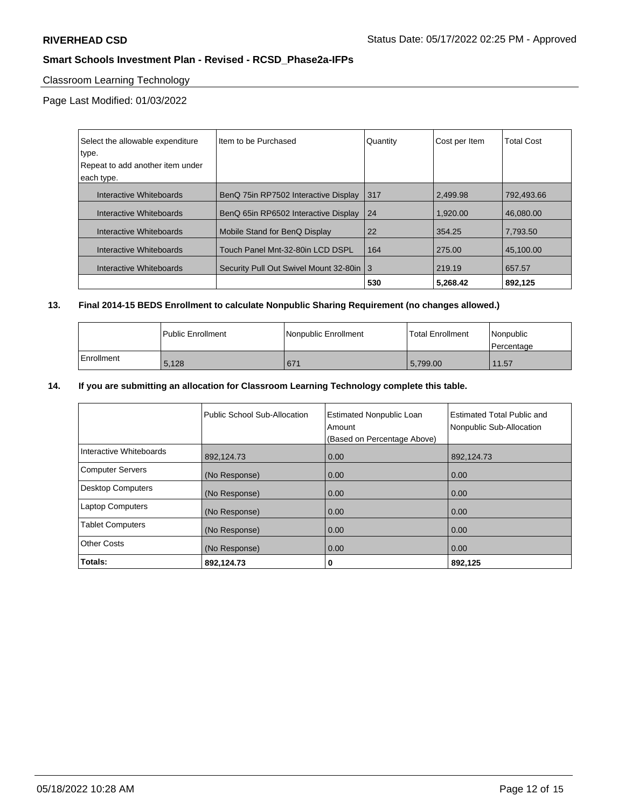# Classroom Learning Technology

Page Last Modified: 01/03/2022

| Select the allowable expenditure | Item to be Purchased                       | Quantity | Cost per Item | <b>Total Cost</b> |
|----------------------------------|--------------------------------------------|----------|---------------|-------------------|
| type.                            |                                            |          |               |                   |
| Repeat to add another item under |                                            |          |               |                   |
| each type.                       |                                            |          |               |                   |
| Interactive Whiteboards          | BenQ 75in RP7502 Interactive Display       | 317      | 2,499.98      | 792,493.66        |
| Interactive Whiteboards          | BenQ 65in RP6502 Interactive Display       | 24       | 1.920.00      | 46,080.00         |
| Interactive Whiteboards          | Mobile Stand for BenQ Display              | 22       | 354.25        | 7,793.50          |
| Interactive Whiteboards          | Touch Panel Mnt-32-80in LCD DSPL           | 164      | 275.00        | 45.100.00         |
| Interactive Whiteboards          | Security Pull Out Swivel Mount 32-80in   3 |          | 219.19        | 657.57            |
|                                  |                                            | 530      | 5.268.42      | 892.125           |

## **13. Final 2014-15 BEDS Enrollment to calculate Nonpublic Sharing Requirement (no changes allowed.)**

|              | <b>Public Enrollment</b> | Nonpublic Enrollment | Total Enrollment | l Nonpublic<br>l Percentage |
|--------------|--------------------------|----------------------|------------------|-----------------------------|
| l Enrollment | 5,128                    | 671                  | 5,799.00         | 11.57                       |

## **14. If you are submitting an allocation for Classroom Learning Technology complete this table.**

|                          | Public School Sub-Allocation | <b>Estimated Nonpublic Loan</b><br>Amount<br>(Based on Percentage Above) | Estimated Total Public and<br>Nonpublic Sub-Allocation |
|--------------------------|------------------------------|--------------------------------------------------------------------------|--------------------------------------------------------|
| Interactive Whiteboards  | 892,124.73                   | 0.00                                                                     | 892,124.73                                             |
| <b>Computer Servers</b>  | (No Response)                | 0.00                                                                     | 0.00                                                   |
| <b>Desktop Computers</b> | (No Response)                | 0.00                                                                     | 0.00                                                   |
| <b>Laptop Computers</b>  | (No Response)                | 0.00                                                                     | 0.00                                                   |
| <b>Tablet Computers</b>  | (No Response)                | 0.00                                                                     | 0.00                                                   |
| <b>Other Costs</b>       | (No Response)                | 0.00                                                                     | 0.00                                                   |
| Totals:                  | 892,124.73                   | 0                                                                        | 892,125                                                |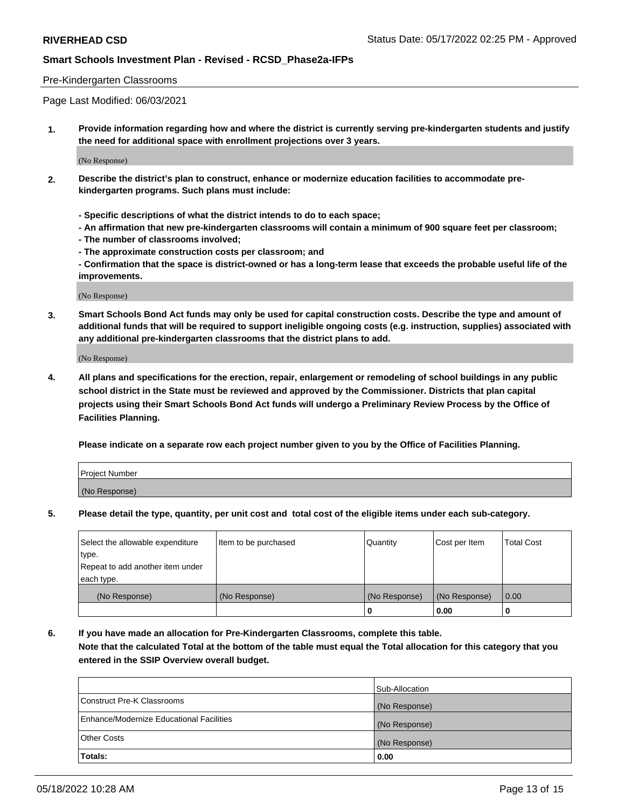#### Pre-Kindergarten Classrooms

Page Last Modified: 06/03/2021

**1. Provide information regarding how and where the district is currently serving pre-kindergarten students and justify the need for additional space with enrollment projections over 3 years.**

(No Response)

- **2. Describe the district's plan to construct, enhance or modernize education facilities to accommodate prekindergarten programs. Such plans must include:**
	- **Specific descriptions of what the district intends to do to each space;**
	- **An affirmation that new pre-kindergarten classrooms will contain a minimum of 900 square feet per classroom;**
	- **The number of classrooms involved;**
	- **The approximate construction costs per classroom; and**
	- **Confirmation that the space is district-owned or has a long-term lease that exceeds the probable useful life of the improvements.**

(No Response)

**3. Smart Schools Bond Act funds may only be used for capital construction costs. Describe the type and amount of additional funds that will be required to support ineligible ongoing costs (e.g. instruction, supplies) associated with any additional pre-kindergarten classrooms that the district plans to add.**

(No Response)

**4. All plans and specifications for the erection, repair, enlargement or remodeling of school buildings in any public school district in the State must be reviewed and approved by the Commissioner. Districts that plan capital projects using their Smart Schools Bond Act funds will undergo a Preliminary Review Process by the Office of Facilities Planning.**

**Please indicate on a separate row each project number given to you by the Office of Facilities Planning.**

| Project Number |  |
|----------------|--|
| (No Response)  |  |

**5. Please detail the type, quantity, per unit cost and total cost of the eligible items under each sub-category.**

| Select the allowable expenditure          | Item to be purchased | Quantity      | Cost per Item | <b>Total Cost</b> |
|-------------------------------------------|----------------------|---------------|---------------|-------------------|
| type.<br>Repeat to add another item under |                      |               |               |                   |
| each type.                                |                      |               |               |                   |
| (No Response)                             | (No Response)        | (No Response) | (No Response) | 0.00              |
|                                           |                      | o             | 0.00          |                   |

**6. If you have made an allocation for Pre-Kindergarten Classrooms, complete this table.**

**Note that the calculated Total at the bottom of the table must equal the Total allocation for this category that you entered in the SSIP Overview overall budget.**

|                                          | Sub-Allocation |
|------------------------------------------|----------------|
| Construct Pre-K Classrooms               | (No Response)  |
| Enhance/Modernize Educational Facilities | (No Response)  |
| <b>Other Costs</b>                       | (No Response)  |
| Totals:                                  | 0.00           |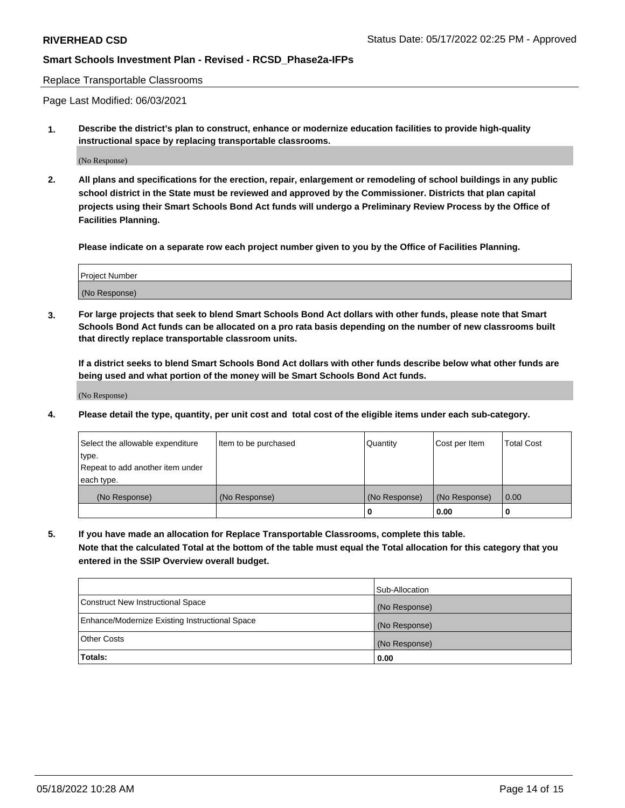#### Replace Transportable Classrooms

Page Last Modified: 06/03/2021

**1. Describe the district's plan to construct, enhance or modernize education facilities to provide high-quality instructional space by replacing transportable classrooms.**

(No Response)

**2. All plans and specifications for the erection, repair, enlargement or remodeling of school buildings in any public school district in the State must be reviewed and approved by the Commissioner. Districts that plan capital projects using their Smart Schools Bond Act funds will undergo a Preliminary Review Process by the Office of Facilities Planning.**

**Please indicate on a separate row each project number given to you by the Office of Facilities Planning.**

| <b>Project Number</b> |  |
|-----------------------|--|
| (No Response)         |  |

**3. For large projects that seek to blend Smart Schools Bond Act dollars with other funds, please note that Smart Schools Bond Act funds can be allocated on a pro rata basis depending on the number of new classrooms built that directly replace transportable classroom units.**

**If a district seeks to blend Smart Schools Bond Act dollars with other funds describe below what other funds are being used and what portion of the money will be Smart Schools Bond Act funds.**

(No Response)

**4. Please detail the type, quantity, per unit cost and total cost of the eligible items under each sub-category.**

| Select the allowable expenditure | Item to be purchased | Quantity      | Cost per Item | <b>Total Cost</b> |
|----------------------------------|----------------------|---------------|---------------|-------------------|
| type.                            |                      |               |               |                   |
| Repeat to add another item under |                      |               |               |                   |
| each type.                       |                      |               |               |                   |
| (No Response)                    | (No Response)        | (No Response) | (No Response) | 0.00              |
|                                  |                      | U             | 0.00          |                   |

**5. If you have made an allocation for Replace Transportable Classrooms, complete this table.**

**Note that the calculated Total at the bottom of the table must equal the Total allocation for this category that you entered in the SSIP Overview overall budget.**

|                                                | Sub-Allocation |
|------------------------------------------------|----------------|
| Construct New Instructional Space              | (No Response)  |
| Enhance/Modernize Existing Instructional Space | (No Response)  |
| <b>Other Costs</b>                             | (No Response)  |
| Totals:                                        | 0.00           |